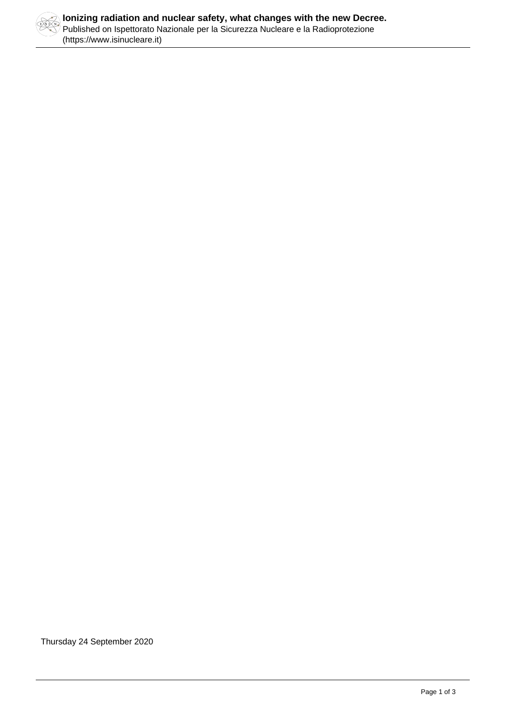

Thursday 24 September 2020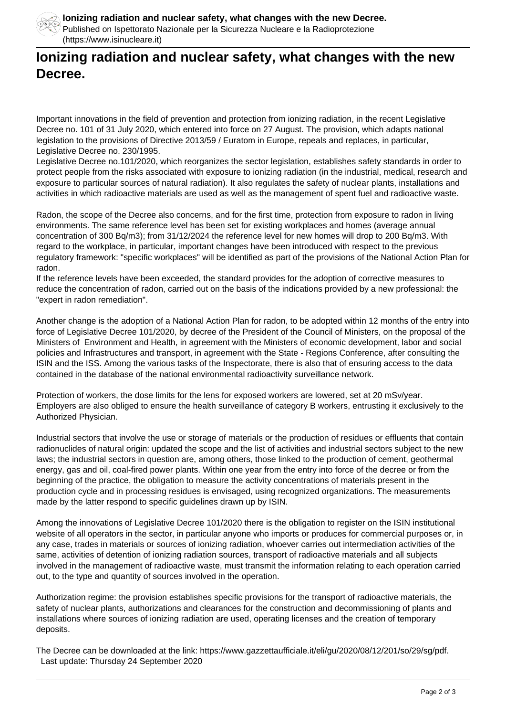

## **Ionizing radiation and nuclear safety, what changes with the new Decree.**

Important innovations in the field of prevention and protection from ionizing radiation, in the recent Legislative Decree no. 101 of 31 July 2020, which entered into force on 27 August. The provision, which adapts national legislation to the provisions of Directive 2013/59 / Euratom in Europe, repeals and replaces, in particular, Legislative Decree no. 230/1995.

Legislative Decree no.101/2020, which reorganizes the sector legislation, establishes safety standards in order to protect people from the risks associated with exposure to ionizing radiation (in the industrial, medical, research and exposure to particular sources of natural radiation). It also regulates the safety of nuclear plants, installations and activities in which radioactive materials are used as well as the management of spent fuel and radioactive waste.

Radon, the scope of the Decree also concerns, and for the first time, protection from exposure to radon in living environments. The same reference level has been set for existing workplaces and homes (average annual concentration of 300 Bq/m3); from 31/12/2024 the reference level for new homes will drop to 200 Bq/m3. With regard to the workplace, in particular, important changes have been introduced with respect to the previous regulatory framework: "specific workplaces" will be identified as part of the provisions of the National Action Plan for radon.

If the reference levels have been exceeded, the standard provides for the adoption of corrective measures to reduce the concentration of radon, carried out on the basis of the indications provided by a new professional: the "expert in radon remediation".

Another change is the adoption of a National Action Plan for radon, to be adopted within 12 months of the entry into force of Legislative Decree 101/2020, by decree of the President of the Council of Ministers, on the proposal of the Ministers of Environment and Health, in agreement with the Ministers of economic development, labor and social policies and Infrastructures and transport, in agreement with the State - Regions Conference, after consulting the ISIN and the ISS. Among the various tasks of the Inspectorate, there is also that of ensuring access to the data contained in the database of the national environmental radioactivity surveillance network.

Protection of workers, the dose limits for the lens for exposed workers are lowered, set at 20 mSv/year. Employers are also obliged to ensure the health surveillance of category B workers, entrusting it exclusively to the Authorized Physician.

Industrial sectors that involve the use or storage of materials or the production of residues or effluents that contain radionuclides of natural origin: updated the scope and the list of activities and industrial sectors subject to the new laws; the industrial sectors in question are, among others, those linked to the production of cement, geothermal energy, gas and oil, coal-fired power plants. Within one year from the entry into force of the decree or from the beginning of the practice, the obligation to measure the activity concentrations of materials present in the production cycle and in processing residues is envisaged, using recognized organizations. The measurements made by the latter respond to specific guidelines drawn up by ISIN.

Among the innovations of Legislative Decree 101/2020 there is the obligation to register on the ISIN institutional website of all operators in the sector, in particular anyone who imports or produces for commercial purposes or, in any case, trades in materials or sources of ionizing radiation, whoever carries out intermediation activities of the same, activities of detention of ionizing radiation sources, transport of radioactive materials and all subjects involved in the management of radioactive waste, must transmit the information relating to each operation carried out, to the type and quantity of sources involved in the operation.

Authorization regime: the provision establishes specific provisions for the transport of radioactive materials, the safety of nuclear plants, authorizations and clearances for the construction and decommissioning of plants and installations where sources of ionizing radiation are used, operating licenses and the creation of temporary deposits.

The Decree can be downloaded at the link: https://www.gazzettaufficiale.it/eli/gu/2020/08/12/201/so/29/sg/pdf. Last update: Thursday 24 September 2020